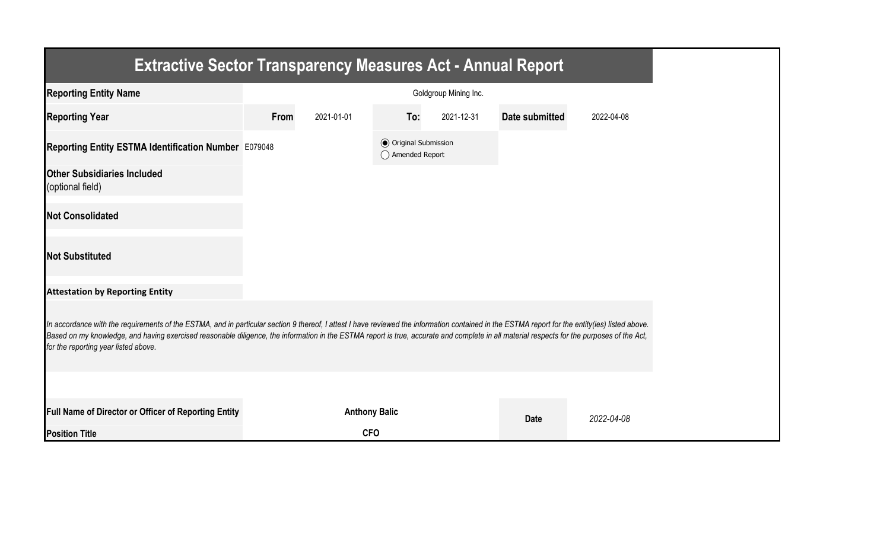| <b>Extractive Sector Transparency Measures Act - Annual Report</b>                                                                                                                                                                                                                                                                                                                                                                    |      |                      |                                                  |                       |                |            |
|---------------------------------------------------------------------------------------------------------------------------------------------------------------------------------------------------------------------------------------------------------------------------------------------------------------------------------------------------------------------------------------------------------------------------------------|------|----------------------|--------------------------------------------------|-----------------------|----------------|------------|
| <b>Reporting Entity Name</b>                                                                                                                                                                                                                                                                                                                                                                                                          |      |                      |                                                  | Goldgroup Mining Inc. |                |            |
| <b>Reporting Year</b>                                                                                                                                                                                                                                                                                                                                                                                                                 | From | 2021-01-01           | To:                                              | 2021-12-31            | Date submitted | 2022-04-08 |
| Reporting Entity ESTMA Identification Number E079048                                                                                                                                                                                                                                                                                                                                                                                  |      |                      | <b>◎</b> Original Submission<br>◯ Amended Report |                       |                |            |
| <b>Other Subsidiaries Included</b><br>(optional field)                                                                                                                                                                                                                                                                                                                                                                                |      |                      |                                                  |                       |                |            |
| <b>Not Consolidated</b>                                                                                                                                                                                                                                                                                                                                                                                                               |      |                      |                                                  |                       |                |            |
| <b>Not Substituted</b>                                                                                                                                                                                                                                                                                                                                                                                                                |      |                      |                                                  |                       |                |            |
| <b>Attestation by Reporting Entity</b>                                                                                                                                                                                                                                                                                                                                                                                                |      |                      |                                                  |                       |                |            |
| In accordance with the requirements of the ESTMA, and in particular section 9 thereof, I attest I have reviewed the information contained in the ESTMA report for the entity(ies) listed above.<br>Based on my knowledge, and having exercised reasonable diligence, the information in the ESTMA report is true, accurate and complete in all material respects for the purposes of the Act,<br>for the reporting year listed above. |      |                      |                                                  |                       |                |            |
|                                                                                                                                                                                                                                                                                                                                                                                                                                       |      |                      |                                                  |                       |                |            |
| Full Name of Director or Officer of Reporting Entity                                                                                                                                                                                                                                                                                                                                                                                  |      | <b>Anthony Balic</b> |                                                  |                       | <b>Date</b>    | 2022-04-08 |
| <b>Position Title</b>                                                                                                                                                                                                                                                                                                                                                                                                                 |      | <b>CFO</b>           |                                                  |                       |                |            |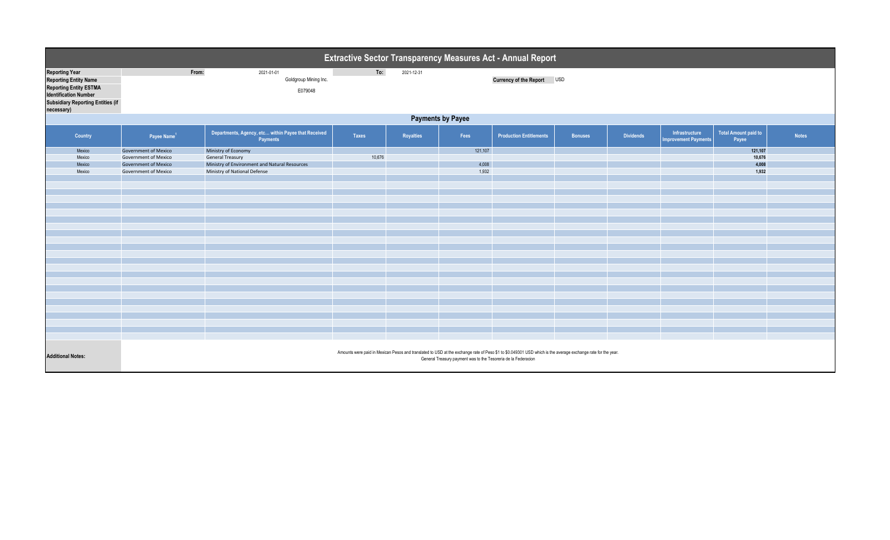|                               |                                          | Extractive Sector Transparency Measures Act - Annual Report |                                                                 |                       |              |            |                                                                |                                                                                                                                                              |                |                  |                                               |                               |              |
|-------------------------------|------------------------------------------|-------------------------------------------------------------|-----------------------------------------------------------------|-----------------------|--------------|------------|----------------------------------------------------------------|--------------------------------------------------------------------------------------------------------------------------------------------------------------|----------------|------------------|-----------------------------------------------|-------------------------------|--------------|
| <b>Reporting Year</b>         |                                          | From:                                                       | 2021-01-01                                                      |                       | To:          | 2021-12-31 |                                                                |                                                                                                                                                              |                |                  |                                               |                               |              |
| <b>Reporting Entity Name</b>  |                                          |                                                             |                                                                 | Goldgroup Mining Inc. |              |            |                                                                | Currency of the Report USD                                                                                                                                   |                |                  |                                               |                               |              |
| <b>Reporting Entity ESTMA</b> |                                          |                                                             |                                                                 | E079048               |              |            |                                                                |                                                                                                                                                              |                |                  |                                               |                               |              |
| <b>Identification Number</b>  |                                          |                                                             |                                                                 |                       |              |            |                                                                |                                                                                                                                                              |                |                  |                                               |                               |              |
|                               | <b>Subsidiary Reporting Entities (if</b> |                                                             |                                                                 |                       |              |            |                                                                |                                                                                                                                                              |                |                  |                                               |                               |              |
| necessary)                    |                                          |                                                             |                                                                 |                       |              |            |                                                                |                                                                                                                                                              |                |                  |                                               |                               |              |
|                               |                                          | <b>Payments by Payee</b>                                    |                                                                 |                       |              |            |                                                                |                                                                                                                                                              |                |                  |                                               |                               |              |
|                               | Country                                  | Payee Name <sup>1</sup>                                     | Departments, Agency, etc within Payee that Received<br>Payments |                       | <b>Taxes</b> | Royalties  | Fees                                                           | <b>Production Entitlements</b>                                                                                                                               | <b>Bonuses</b> | <b>Dividends</b> | Infrastructure<br><b>Improvement Payments</b> | Total Amount paid to<br>Payee | <b>Notes</b> |
|                               | Mexico                                   | <b>Government of Mexico</b>                                 | Ministry of Economy                                             |                       |              |            | 121,107                                                        |                                                                                                                                                              |                |                  |                                               | 121,107                       |              |
|                               | Mexico                                   | <b>Government of Mexico</b>                                 | <b>General Treasury</b>                                         |                       | 10,676       |            |                                                                |                                                                                                                                                              |                |                  |                                               | 10,676                        |              |
|                               | Mexico                                   | <b>Government of Mexico</b>                                 | Ministry of Environment and Natural Resources                   |                       |              |            | 4,008                                                          |                                                                                                                                                              |                |                  |                                               | 4,008                         |              |
|                               | Mexico                                   | <b>Government of Mexico</b>                                 | Ministry of National Defense                                    |                       |              |            | 1,932                                                          |                                                                                                                                                              |                |                  |                                               | 1,932                         |              |
|                               |                                          |                                                             |                                                                 |                       |              |            |                                                                |                                                                                                                                                              |                |                  |                                               |                               |              |
|                               |                                          |                                                             |                                                                 |                       |              |            |                                                                |                                                                                                                                                              |                |                  |                                               |                               |              |
|                               |                                          |                                                             |                                                                 |                       |              |            |                                                                |                                                                                                                                                              |                |                  |                                               |                               |              |
|                               |                                          |                                                             |                                                                 |                       |              |            |                                                                |                                                                                                                                                              |                |                  |                                               |                               |              |
|                               |                                          |                                                             |                                                                 |                       |              |            |                                                                |                                                                                                                                                              |                |                  |                                               |                               |              |
|                               |                                          |                                                             |                                                                 |                       |              |            |                                                                |                                                                                                                                                              |                |                  |                                               |                               |              |
|                               |                                          |                                                             |                                                                 |                       |              |            |                                                                |                                                                                                                                                              |                |                  |                                               |                               |              |
|                               |                                          |                                                             |                                                                 |                       |              |            |                                                                |                                                                                                                                                              |                |                  |                                               |                               |              |
|                               |                                          |                                                             |                                                                 |                       |              |            |                                                                |                                                                                                                                                              |                |                  |                                               |                               |              |
|                               |                                          |                                                             |                                                                 |                       |              |            |                                                                |                                                                                                                                                              |                |                  |                                               |                               |              |
|                               |                                          |                                                             |                                                                 |                       |              |            |                                                                |                                                                                                                                                              |                |                  |                                               |                               |              |
|                               |                                          |                                                             |                                                                 |                       |              |            |                                                                |                                                                                                                                                              |                |                  |                                               |                               |              |
|                               |                                          |                                                             |                                                                 |                       |              |            |                                                                |                                                                                                                                                              |                |                  |                                               |                               |              |
|                               |                                          |                                                             |                                                                 |                       |              |            |                                                                |                                                                                                                                                              |                |                  |                                               |                               |              |
|                               |                                          |                                                             |                                                                 |                       |              |            |                                                                |                                                                                                                                                              |                |                  |                                               |                               |              |
|                               |                                          |                                                             |                                                                 |                       |              |            |                                                                |                                                                                                                                                              |                |                  |                                               |                               |              |
|                               |                                          |                                                             |                                                                 |                       |              |            |                                                                |                                                                                                                                                              |                |                  |                                               |                               |              |
|                               |                                          |                                                             |                                                                 |                       |              |            |                                                                |                                                                                                                                                              |                |                  |                                               |                               |              |
|                               |                                          |                                                             |                                                                 |                       |              |            |                                                                |                                                                                                                                                              |                |                  |                                               |                               |              |
|                               |                                          |                                                             |                                                                 |                       |              |            |                                                                |                                                                                                                                                              |                |                  |                                               |                               |              |
|                               |                                          |                                                             |                                                                 |                       |              |            |                                                                |                                                                                                                                                              |                |                  |                                               |                               |              |
|                               |                                          |                                                             |                                                                 |                       |              |            |                                                                |                                                                                                                                                              |                |                  |                                               |                               |              |
| <b>Additional Notes:</b>      |                                          |                                                             |                                                                 |                       |              |            | General Treasury payment was to the Tesoreria de la Federacion | Amounts were paid in Mexican Pesos and translated to USD at the exchange rate of Peso \$1 to \$0.049301 USD which is the average exchange rate for the year. |                |                  |                                               |                               |              |